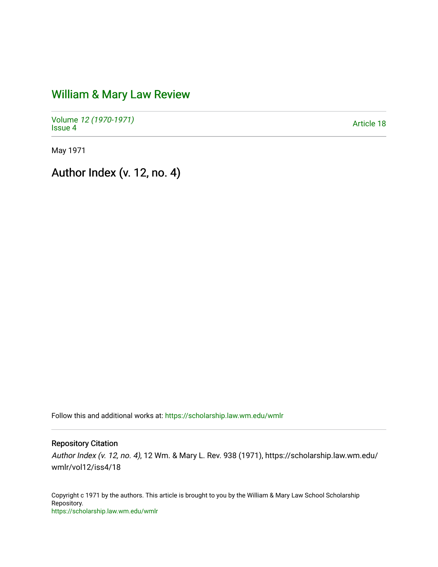## [William & Mary Law Review](https://scholarship.law.wm.edu/wmlr)

Volume [12 \(1970-1971\)](https://scholarship.law.wm.edu/wmlr/vol12)  Volume 12 (1970-1971)<br>[Issue 4](https://scholarship.law.wm.edu/wmlr/vol12/iss4)

May 1971

Author Index (v. 12, no. 4)

Follow this and additional works at: [https://scholarship.law.wm.edu/wmlr](https://scholarship.law.wm.edu/wmlr?utm_source=scholarship.law.wm.edu%2Fwmlr%2Fvol12%2Fiss4%2F18&utm_medium=PDF&utm_campaign=PDFCoverPages)

## Repository Citation

Author Index (v. 12, no. 4), 12 Wm. & Mary L. Rev. 938 (1971), https://scholarship.law.wm.edu/ wmlr/vol12/iss4/18

Copyright c 1971 by the authors. This article is brought to you by the William & Mary Law School Scholarship Repository. <https://scholarship.law.wm.edu/wmlr>